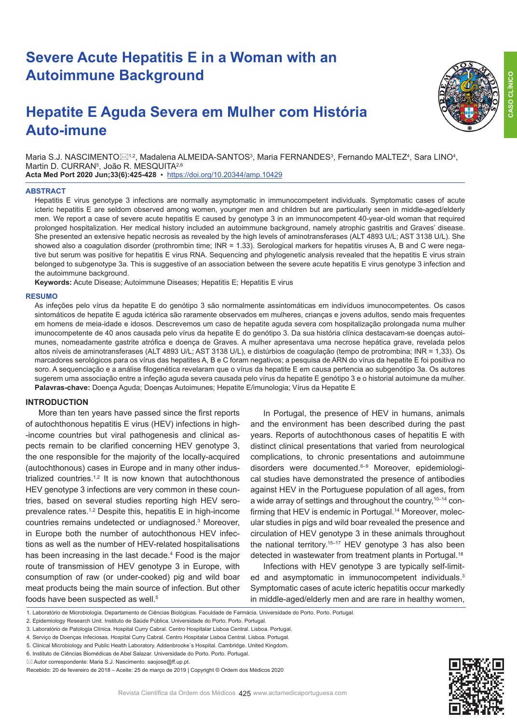# **Severe Acute Hepatitis E in a Woman with an Autoimmune Background**

# **Hepatite E Aguda Severa em Mulher com História Auto-imune**



Maria S.J. NASCIMENTO $\boxtimes^{1,2}$ , Madalena ALMEIDA-SANTOS $^3$ , Maria FERNANDES $^3$ , Fernando MALTEZ $^4$ , Sara LINO $^4$ , Martin D. CURRAN<sup>5</sup>, João R. MESQUITA<sup>2,6</sup>

**Acta Med Port 2020 Jun;33(6):425-428** ▪https://doi.org/10.20344/amp.10429

#### **ABSTRACT**

Hepatitis E virus genotype 3 infections are normally asymptomatic in immunocompetent individuals. Symptomatic cases of acute icteric hepatitis E are seldom observed among women, younger men and children but are particularly seen in middle-aged/elderly men. We report a case of severe acute hepatitis E caused by genotype 3 in an immunocompetent 40-year-old woman that required prolonged hospitalization. Her medical history included an autoimmune background, namely atrophic gastritis and Graves' disease. She presented an extensive hepatic necrosis as revealed by the high levels of aminotransferases (ALT 4893 U/L; AST 3138 U/L). She showed also a coagulation disorder (prothrombin time; INR = 1.33). Serological markers for hepatitis viruses A, B and C were negative but serum was positive for hepatitis E virus RNA. Sequencing and phylogenetic analysis revealed that the hepatitis E virus strain belonged to subgenotype 3a. This is suggestive of an association between the severe acute hepatitis E virus genotype 3 infection and the autoimmune background.

**Keywords:** Acute Disease; Autoimmune Diseases; Hepatitis E; Hepatitis E virus

#### **RESUMO**

As infeções pelo vírus da hepatite E do genótipo 3 são normalmente assintomáticas em indivíduos imunocompetentes. Os casos sintomáticos de hepatite E aguda ictérica são raramente observados em mulheres, crianças e jovens adultos, sendo mais frequentes em homens de meia-idade e idosos. Descrevemos um caso de hepatite aguda severa com hospitalização prolongada numa mulher imunocompetente de 40 anos causada pelo vírus da hepatite E do genótipo 3. Da sua história clínica destacavam-se doenças autoimunes, nomeadamente gastrite atrófica e doença de Graves. A mulher apresentava uma necrose hepática grave, revelada pelos altos níveis de aminotransferases (ALT 4893 U/L; AST 3138 U/L), e distúrbios de coagulação (tempo de protrombina; INR = 1,33). Os marcadores serológicos para os vírus das hepatites A, B e C foram negativos; a pesquisa de ARN do vírus da hepatite E foi positiva no soro. A sequenciação e a análise filogenética revelaram que o vírus da hepatite E em causa pertencia ao subgenótipo 3a. Os autores sugerem uma associação entre a infeção aguda severa causada pelo vírus da hepatite E genótipo 3 e o historial autoimune da mulher. **Palavras-chave:** Doença Aguda; Doenças Autoimunes; Hepatite E/imunologia; Vírus da Hepatite E

### **INTRODUCTION**

More than ten years have passed since the first reports of autochthonous hepatitis E virus (HEV) infections in high- -income countries but viral pathogenesis and clinical aspects remain to be clarified concerning HEV genotype 3, the one responsible for the majority of the locally-acquired (autochthonous) cases in Europe and in many other industrialized countries.<sup>1,2</sup> It is now known that autochthonous HEV genotype 3 infections are very common in these countries, based on several studies reporting high HEV seroprevalence rates.<sup> $1,2$ </sup> Despite this, hepatitis E in high-income countries remains undetected or undiagnosed.3 Moreover, in Europe both the number of autochthonous HEV infections as well as the number of HEV-related hospitalisations has been increasing in the last decade.<sup>4</sup> Food is the major route of transmission of HEV genotype 3 in Europe, with consumption of raw (or under-cooked) pig and wild boar meat products being the main source of infection. But other foods have been suspected as well.<sup>5</sup>

In Portugal, the presence of HEV in humans, animals and the environment has been described during the past years. Reports of autochthonous cases of hepatitis E with distinct clinical presentations that varied from neurological complications, to chronic presentations and autoimmune disorders were documented.6–9 Moreover, epidemiological studies have demonstrated the presence of antibodies against HEV in the Portuguese population of all ages, from a wide array of settings and throughout the country,10–14 confirming that HEV is endemic in Portugal.<sup>14</sup> Moreover, molecular studies in pigs and wild boar revealed the presence and circulation of HEV genotype 3 in these animals throughout the national territory.<sup>15-17</sup> HEV genotype 3 has also been detected in wastewater from treatment plants in Portugal.<sup>18</sup>

Infections with HEV genotype 3 are typically self-limited and asymptomatic in immunocompetent individuals.<sup>3</sup> Symptomatic cases of acute icteric hepatitis occur markedly in middle-aged/elderly men and are rare in healthy women,

- 4. Serviço de Doenças Infeciosas. Hospital Curry Cabral. Centro Hospitalar Lisboa Central. Lisboa. Portugal.
- 5. Clinical Microbiology and Public Health Laboratory. Addenbrooke´s Hospital. Cambridge. United Kingdom.
- 6. Instituto de Ciências Biomédicas de Abel Salazar. Universidade do Porto. Porto. Portugal.



<sup>1.</sup> Laboratório de Microbiologia. Departamento de Ciências Biológicas. Faculdade de Farmácia. Universidade do Porto. Porto. Portugal.

<sup>2.</sup> Epidemiology Research Unit. Instituto de Saúde Pública. Universidade do Porto. Porto. Portugal.

<sup>3.</sup> Laboratório de Patologia Clínica. Hospital Curry Cabral. Centro Hospitalar Lisboa Central. Lisboa. Portugal.

 $\boxtimes$  Autor correspondente: Maria S.J. Nascimento. saoiose@ff.up.pt.

Recebido: 20 de fevereiro de 2018 – Aceite: 25 de março de 2019 | Copyright © Ordem dos Médicos 2020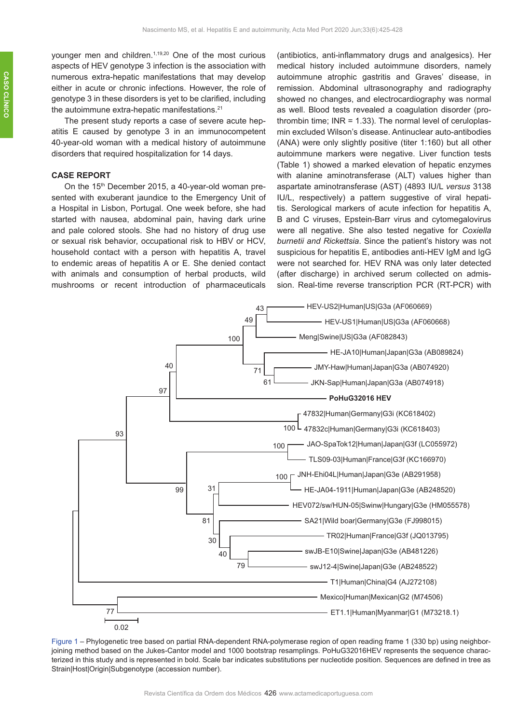younger men and children.<sup>1,19,20</sup> One of the most curious aspects of HEV genotype 3 infection is the association with numerous extra-hepatic manifestations that may develop either in acute or chronic infections. However, the role of genotype 3 in these disorders is yet to be clarified, including the autoimmune extra-hepatic manifestations.<sup>21</sup>

The present study reports a case of severe acute hepatitis E caused by genotype 3 in an immunocompetent 40-year-old woman with a medical history of autoimmune disorders that required hospitalization for 14 days.

# **CASE REPORT**

On the 15<sup>th</sup> December 2015, a 40-year-old woman presented with exuberant jaundice to the Emergency Unit of a Hospital in Lisbon, Portugal. One week before, she had started with nausea, abdominal pain, having dark urine and pale colored stools. She had no history of drug use or sexual risk behavior, occupational risk to HBV or HCV, household contact with a person with hepatitis A, travel to endemic areas of hepatitis A or E. She denied contact with animals and consumption of herbal products, wild mushrooms or recent introduction of pharmaceuticals

(antibiotics, anti-inflammatory drugs and analgesics). Her medical history included autoimmune disorders, namely autoimmune atrophic gastritis and Graves' disease, in remission. Abdominal ultrasonography and radiography showed no changes, and electrocardiography was normal as well. Blood tests revealed a coagulation disorder (prothrombin time:  $INR = 1.33$ ). The normal level of ceruloplasmin excluded Wilson's disease. Antinuclear auto-antibodies (ANA) were only slightly positive (titer 1:160) but all other autoimmune markers were negative. Liver function tests (Table 1) showed a marked elevation of hepatic enzymes with alanine aminotransferase (ALT) values higher than aspartate aminotransferase (AST) (4893 IU/L *versus* 3138 IU/L, respectively) a pattern suggestive of viral hepatitis. Serological markers of acute infection for hepatitis A, B and C viruses, Epstein-Barr virus and cytomegalovirus were all negative. She also tested negative for *Coxiella burnetii and Rickettsia*. Since the patient's history was not suspicious for hepatitis E, antibodies anti-HEV IgM and IgG were not searched for. HEV RNA was only later detected (after discharge) in archived serum collected on admission. Real-time reverse transcription PCR (RT-PCR) with



Figure 1 – Phylogenetic tree based on partial RNA-dependent RNA-polymerase region of open reading frame 1 (330 bp) using neighborjoining method based on the Jukes-Cantor model and 1000 bootstrap resamplings. PoHuG32016HEV represents the sequence characterized in this study and is represented in bold. Scale bar indicates substitutions per nucleotide position. Sequences are defined in tree as Strain|Host|Origin|Subgenotype (accession number).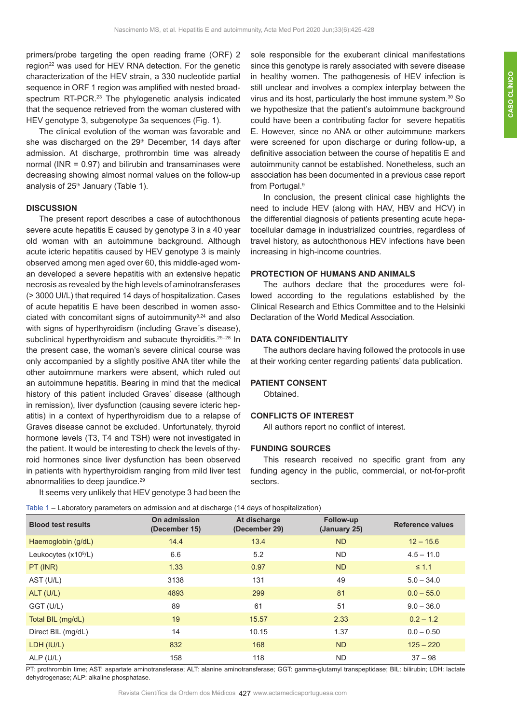primers/probe targeting the open reading frame (ORF) 2 region<sup>22</sup> was used for HEV RNA detection. For the genetic characterization of the HEV strain, a 330 nucleotide partial sequence in ORF 1 region was amplified with nested broadspectrum RT-PCR.<sup>23</sup> The phylogenetic analysis indicated that the sequence retrieved from the woman clustered with HEV genotype 3, subgenotype 3a sequences (Fig. 1).

The clinical evolution of the woman was favorable and she was discharged on the 29<sup>th</sup> December, 14 days after admission. At discharge, prothrombin time was already normal (INR = 0.97) and bilirubin and transaminases were decreasing showing almost normal values on the follow-up analysis of  $25<sup>th</sup>$  January (Table 1).

#### **DISCUSSION**

The present report describes a case of autochthonous severe acute hepatitis E caused by genotype 3 in a 40 year old woman with an autoimmune background. Although acute icteric hepatitis caused by HEV genotype 3 is mainly observed among men aged over 60, this middle-aged woman developed a severe hepatitis with an extensive hepatic necrosis as revealed by the high levels of aminotransferases (> 3000 UI/L) that required 14 days of hospitalization. Cases of acute hepatitis E have been described in women associated with concomitant signs of autoimmunity<sup>9,24</sup> and also with signs of hyperthyroidism (including Grave´s disease), subclinical hyperthyroidism and subacute thyroiditis.<sup>25-28</sup> In the present case, the woman's severe clinical course was only accompanied by a slightly positive ANA titer while the other autoimmune markers were absent, which ruled out an autoimmune hepatitis. Bearing in mind that the medical history of this patient included Graves' disease (although in remission), liver dysfunction (causing severe icteric hepatitis) in a context of hyperthyroidism due to a relapse of Graves disease cannot be excluded. Unfortunately, thyroid hormone levels (T3, T4 and TSH) were not investigated in the patient. It would be interesting to check the levels of thyroid hormones since liver dysfunction has been observed in patients with hyperthyroidism ranging from mild liver test abnormalities to deep jaundice.<sup>29</sup>

It seems very unlikely that HEV genotype 3 had been the

sole responsible for the exuberant clinical manifestations since this genotype is rarely associated with severe disease in healthy women. The pathogenesis of HEV infection is still unclear and involves a complex interplay between the virus and its host, particularly the host immune system.30 So we hypothesize that the patient's autoimmune background could have been a contributing factor for severe hepatitis E. However, since no ANA or other autoimmune markers were screened for upon discharge or during follow-up, a definitive association between the course of hepatitis E and autoimmunity cannot be established. Nonetheless, such an association has been documented in a previous case report from Portugal.<sup>9</sup>

In conclusion, the present clinical case highlights the need to include HEV (along with HAV, HBV and HCV) in the differential diagnosis of patients presenting acute hepatocellular damage in industrialized countries, regardless of travel history, as autochthonous HEV infections have been increasing in high-income countries.

## **PROTECTION OF HUMANS AND ANIMALS**

The authors declare that the procedures were followed according to the regulations established by the Clinical Research and Ethics Committee and to the Helsinki Declaration of the World Medical Association.

### **DATA CONFIDENTIALITY**

The authors declare having followed the protocols in use at their working center regarding patients' data publication.

## **PATIENT CONSENT**

Obtained.

## **CONFLICTS OF INTEREST**

All authors report no conflict of interest.

#### **FUNDING SOURCES**

This research received no specific grant from any funding agency in the public, commercial, or not-for-profit sectors.

| Table 1 - Laboratory parameters on admission and at discharge (14 days of hospitalization) |  |  |
|--------------------------------------------------------------------------------------------|--|--|
|--------------------------------------------------------------------------------------------|--|--|

| . .                              |                               |                               |                           |                         |
|----------------------------------|-------------------------------|-------------------------------|---------------------------|-------------------------|
| <b>Blood test results</b>        | On admission<br>(December 15) | At discharge<br>(December 29) | Follow-up<br>(January 25) | <b>Reference values</b> |
| Haemoglobin (g/dL)               | 14.4                          | 13.4                          | <b>ND</b>                 | $12 - 15.6$             |
| Leukocytes (x10 <sup>9</sup> /L) | 6.6                           | 5.2                           | <b>ND</b>                 | $4.5 - 11.0$            |
| PT (INR)                         | 1.33                          | 0.97                          | <b>ND</b>                 | $\leq 1.1$              |
| AST (U/L)                        | 3138                          | 131                           | 49                        | $5.0 - 34.0$            |
| ALT (U/L)                        | 4893                          | 299                           | 81                        | $0.0 - 55.0$            |
| GGT (U/L)                        | 89                            | 61                            | 51                        | $9.0 - 36.0$            |
| Total BIL (mg/dL)                | 19                            | 15.57                         | 2.33                      | $0.2 - 1.2$             |
| Direct BIL (mg/dL)               | 14                            | 10.15                         | 1.37                      | $0.0 - 0.50$            |
| LDH (IU/L)                       | 832                           | 168                           | <b>ND</b>                 | $125 - 220$             |
| ALP (U/L)                        | 158                           | 118                           | <b>ND</b>                 | $37 - 98$               |

PT: prothrombin time; AST: aspartate aminotransferase; ALT: alanine aminotransferase; GGT: gamma-glutamyl transpeptidase; BIL: bilirubin; LDH: lactate dehydrogenase; ALP: alkaline phosphatase.